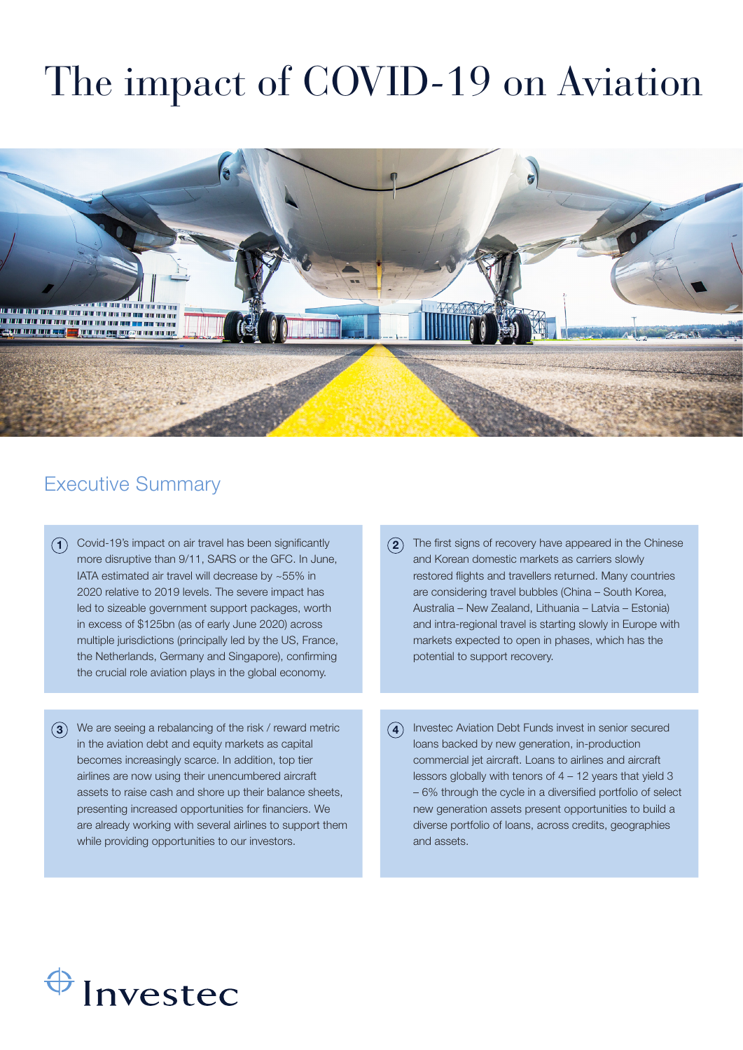# The impact of COVID-19 on Aviation



#### Executive Summary

- $\bigcap$  Covid-19's impact on air travel has been significantly more disruptive than 9/11, SARS or the GFC. In June, IATA estimated air travel will decrease by ~55% in 2020 relative to 2019 levels. The severe impact has led to sizeable government support packages, worth in excess of \$125bn (as of early June 2020) across multiple jurisdictions (principally led by the US, France, the Netherlands, Germany and Singapore), confirming the crucial role aviation plays in the global economy.
- $\mathbf{3})$  We are seeing a rebalancing of the risk / reward metric in the aviation debt and equity markets as capital becomes increasingly scarce. In addition, top tier airlines are now using their unencumbered aircraft assets to raise cash and shore up their balance sheets, presenting increased opportunities for financiers. We are already working with several airlines to support them while providing opportunities to our investors.
- $\overline{2}$ ) The first signs of recovery have appeared in the Chinese and Korean domestic markets as carriers slowly restored flights and travellers returned. Many countries are considering travel bubbles (China – South Korea, Australia – New Zealand, Lithuania – Latvia – Estonia) and intra-regional travel is starting slowly in Europe with markets expected to open in phases, which has the potential to support recovery.
- $\overline{4}$  Investec Aviation Debt Funds invest in senior secured loans backed by new generation, in-production commercial jet aircraft. Loans to airlines and aircraft lessors globally with tenors of 4 – 12 years that yield 3 – 6% through the cycle in a diversified portfolio of select new generation assets present opportunities to build a diverse portfolio of loans, across credits, geographies and assets.

# $\bigoplus$  Investec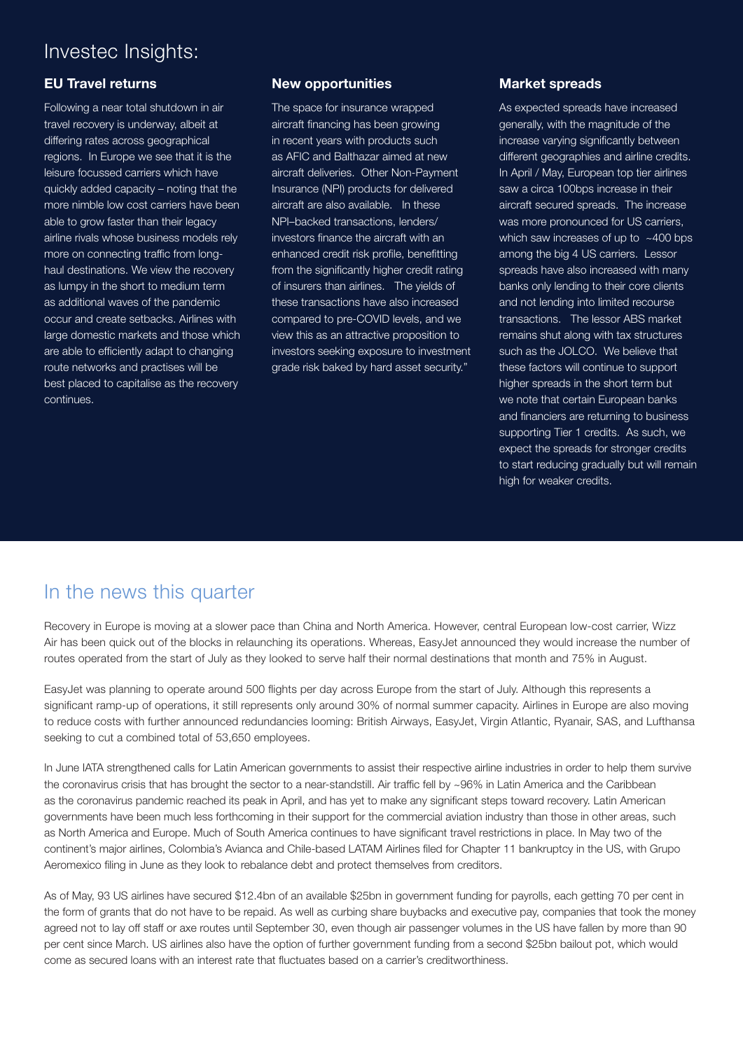#### Investec Insights:

#### EU Travel returns

Following a near total shutdown in air travel recovery is underway, albeit at differing rates across geographical regions. In Europe we see that it is the leisure focussed carriers which have quickly added capacity – noting that the more nimble low cost carriers have been able to grow faster than their legacy airline rivals whose business models rely more on connecting traffic from longhaul destinations. We view the recovery as lumpy in the short to medium term as additional waves of the pandemic occur and create setbacks. Airlines with large domestic markets and those which are able to efficiently adapt to changing route networks and practises will be best placed to capitalise as the recovery continues.

#### New opportunities

The space for insurance wrapped aircraft financing has been growing in recent years with products such as AFIC and Balthazar aimed at new aircraft deliveries. Other Non-Payment Insurance (NPI) products for delivered aircraft are also available. In these NPI–backed transactions, lenders/ investors finance the aircraft with an enhanced credit risk profile, benefitting from the significantly higher credit rating of insurers than airlines. The yields of these transactions have also increased compared to pre-COVID levels, and we view this as an attractive proposition to investors seeking exposure to investment grade risk baked by hard asset security."

#### Market spreads

As expected spreads have increased generally, with the magnitude of the increase varying significantly between different geographies and airline credits. In April / May, European top tier airlines saw a circa 100bps increase in their aircraft secured spreads. The increase was more pronounced for US carriers, which saw increases of up to ~400 bps among the big 4 US carriers. Lessor spreads have also increased with many banks only lending to their core clients and not lending into limited recourse transactions. The lessor ABS market remains shut along with tax structures such as the JOLCO. We believe that these factors will continue to support higher spreads in the short term but we note that certain European banks and financiers are returning to business supporting Tier 1 credits. As such, we expect the spreads for stronger credits to start reducing gradually but will remain high for weaker credits.

### In the news this quarter

Recovery in Europe is moving at a slower pace than China and North America. However, central European low-cost carrier, Wizz Air has been quick out of the blocks in relaunching its operations. Whereas, EasyJet announced they would increase the number of routes operated from the start of July as they looked to serve half their normal destinations that month and 75% in August.

EasyJet was planning to operate around 500 flights per day across Europe from the start of July. Although this represents a significant ramp-up of operations, it still represents only around 30% of normal summer capacity. Airlines in Europe are also moving to reduce costs with further announced redundancies looming: British Airways, EasyJet, Virgin Atlantic, Ryanair, SAS, and Lufthansa seeking to cut a combined total of 53,650 employees.

In June IATA strengthened calls for Latin American governments to assist their respective airline industries in order to help them survive the coronavirus crisis that has brought the sector to a near-standstill. Air traffic fell by ~96% in Latin America and the Caribbean as the coronavirus pandemic reached its peak in April, and has yet to make any significant steps toward recovery. Latin American governments have been much less forthcoming in their support for the commercial aviation industry than those in other areas, such as North America and Europe. Much of South America continues to have significant travel restrictions in place. In May two of the continent's major airlines, Colombia's Avianca and Chile-based LATAM Airlines filed for Chapter 11 bankruptcy in the US, with Grupo Aeromexico filing in June as they look to rebalance debt and protect themselves from creditors.

As of May, 93 US airlines have secured \$12.4bn of an available \$25bn in government funding for payrolls, each getting 70 per cent in the form of grants that do not have to be repaid. As well as curbing share buybacks and executive pay, companies that took the money agreed not to lay off staff or axe routes until September 30, even though air passenger volumes in the US have fallen by more than 90 per cent since March. US airlines also have the option of further government funding from a second \$25bn bailout pot, which would come as secured loans with an interest rate that fluctuates based on a carrier's creditworthiness.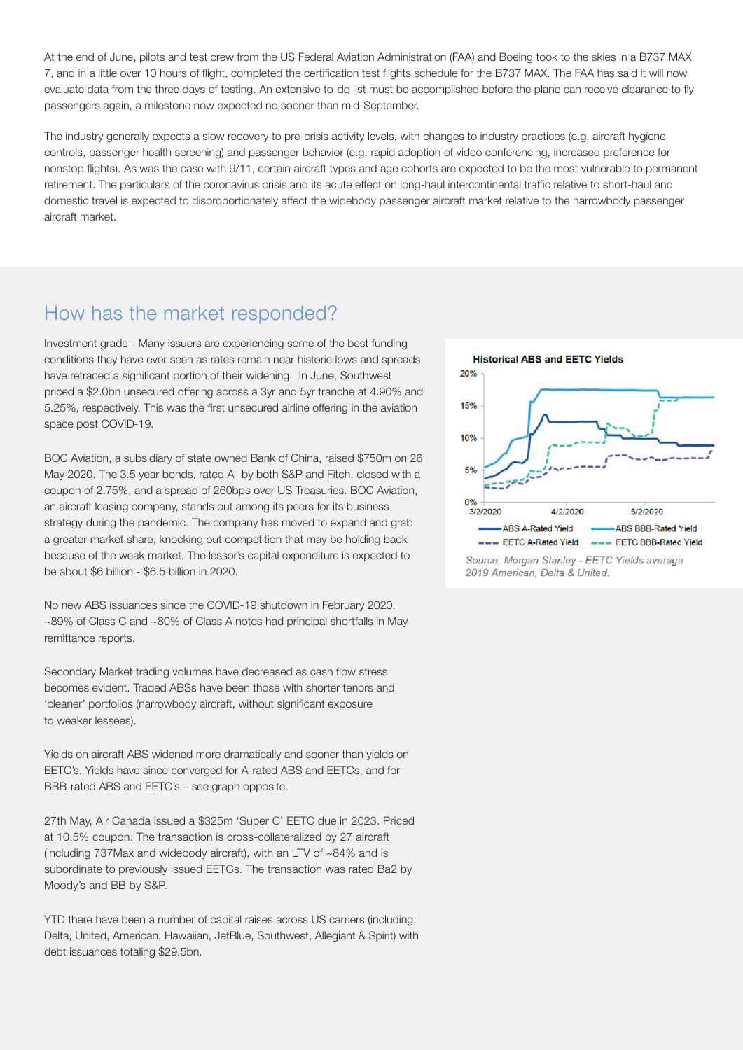At the end of June, pilots and test crew from the US Federal Aviation Administration (FAA) and Boeing took to the skies in a B737 MAX 7, and in a little over 10 hours of flight, completed the certification test flights schedule for the B737 MAX. The FAA has said it will now evaluate data from the three days of testing. An extensive to-do list must be accomplished before the plane can receive clearance to fly passengers again, a milestone now expected no sooner than mid-September.

The industry generally expects a slow recovery to pre-crisis activity levels, with changes to industry practices (e.g. aircraft hygiene controls, passenger health screening) and passenger behavior (e.g. rapid adoption of video conferencing, increased preference for nonstop flights). As was the case with 9/11, certain aircraft types and age cohorts are expected to be the most vulnerable to permanent retirement. The particulars of the coronavirus crisis and its acute effect on long-haul intercontinental traffic relative to short-haul and domestic travel is expected to disproportionately affect the widebody passenger aircraft market relative to the narrowbody passenger aircraft market.

#### How has the market responded?

Investment grade - Many issuers are experiencing some of the best funding conditions they have ever seen as rates remain near historic lows and spreads have retraced a significant portion of their widening. In June, Southwest priced a \$2.0bn unsecured offering across a 3yr and 5yr tranche at 4.90% and 5.25%, respectively. This was the first unsecured airline offering in the aviation space post COVID-19.

BOC Aviation, a subsidiary of state owned Bank of China, raised \$750m on 26 May 2020. The 3.5 year bonds, rated A- by both S&P and Fitch, closed with a coupon of 2.75%, and a spread of 260bps over US Treasuries. BOC Aviation, an aircraft leasing company, stands out among its peers for its business strategy during the pandemic. The company has moved to expand and grab a greater market share, knocking out competition that may be holding back because of the weak market. The lessor's capital expenditure is expected to be about \$6 billion - \$6.5 billion in 2020.

No new ABS issuances since the COVID-19 shutdown in February 2020. ~89% of Class C and ~80% of Class A notes had principal shortfalls in May remittance reports.

Secondary Market trading volumes have decreased as cash flow stress becomes evident. Traded ABSs have been those with shorter tenors and 'cleaner' portfolios (narrowbody aircraft, without significant exposure to weaker lessees).

Yields on aircraft ABS widened more dramatically and sooner than yields on EETC's. Yields have since converged for A-rated ABS and EETCs, and for BBB-rated ABS and EETC's – see graph opposite.

27th May, Air Canada issued a \$325m 'Super C' EETC due in 2023. Priced at 10.5% coupon. The transaction is cross-collateralized by 27 aircraft (including 737Max and widebody aircraft), with an LTV of ~84% and is subordinate to previously issued EETCs. The transaction was rated Ba2 by Moody's and BB by S&P.

YTD there have been a number of capital raises across US carriers (including: Delta, United, American, Hawaiian, JetBlue, Southwest, Allegiant & Spirit) with debt issuances totaling \$29.5bn.



Source: Morgan Stanley - EETC Yields average 2019 American, Delta & United.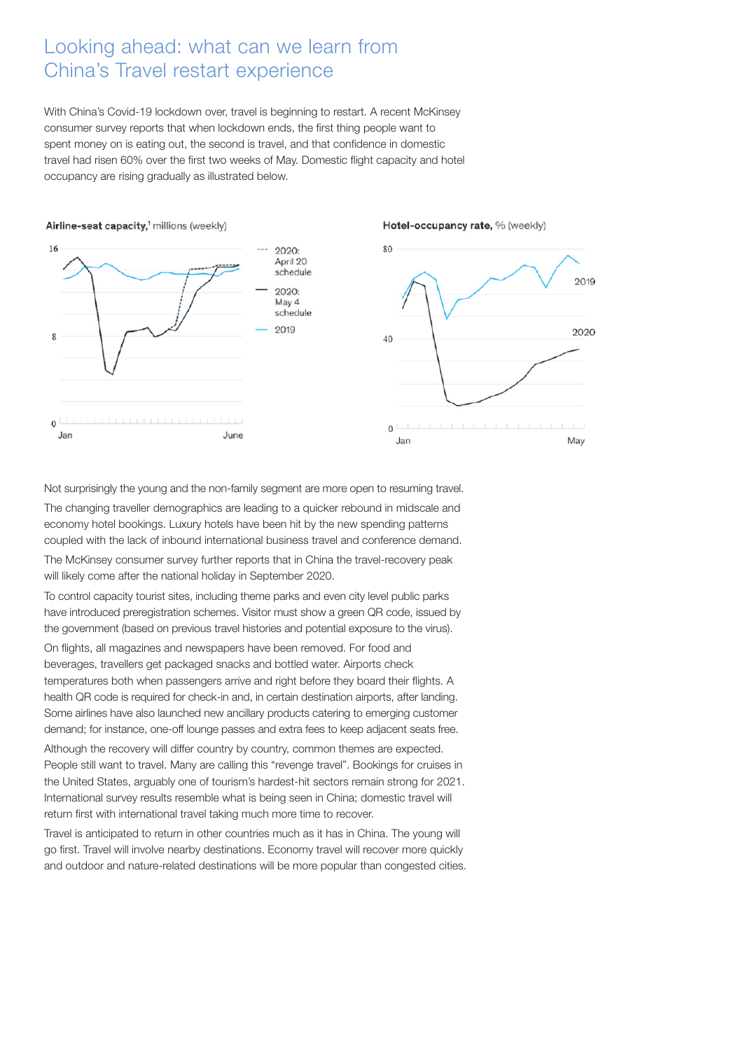#### Looking ahead: what can we learn from China's Travel restart experience

With China's Covid-19 lockdown over, travel is beginning to restart. A recent McKinsey consumer survey reports that when lockdown ends, the first thing people want to spent money on is eating out, the second is travel, and that confidence in domestic travel had risen 60% over the first two weeks of May. Domestic flight capacity and hotel occupancy are rising gradually as illustrated below.



Not surprisingly the young and the non-family segment are more open to resuming travel. The changing traveller demographics are leading to a quicker rebound in midscale and economy hotel bookings. Luxury hotels have been hit by the new spending patterns coupled with the lack of inbound international business travel and conference demand.

The McKinsey consumer survey further reports that in China the travel-recovery peak will likely come after the national holiday in September 2020.

To control capacity tourist sites, including theme parks and even city level public parks have introduced preregistration schemes. Visitor must show a green QR code, issued by the government (based on previous travel histories and potential exposure to the virus).

On flights, all magazines and newspapers have been removed. For food and beverages, travellers get packaged snacks and bottled water. Airports check temperatures both when passengers arrive and right before they board their flights. A health QR code is required for check-in and, in certain destination airports, after landing. Some airlines have also launched new ancillary products catering to emerging customer demand; for instance, one-off lounge passes and extra fees to keep adjacent seats free.

Although the recovery will differ country by country, common themes are expected. People still want to travel. Many are calling this "revenge travel". Bookings for cruises in the United States, arguably one of tourism's hardest-hit sectors remain strong for 2021. International survey results resemble what is being seen in China; domestic travel will return first with international travel taking much more time to recover.

Travel is anticipated to return in other countries much as it has in China. The young will go first. Travel will involve nearby destinations. Economy travel will recover more quickly and outdoor and nature-related destinations will be more popular than congested cities.